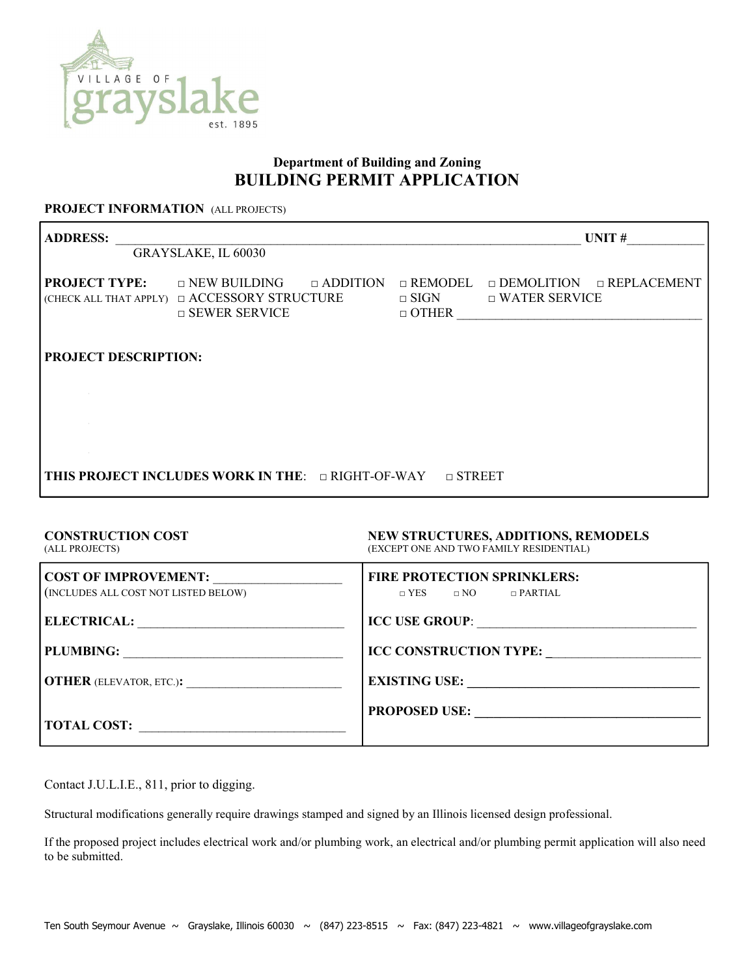

# Department of Building and Zoning BUILDING PERMIT APPLICATION

#### PROJECT INFORMATION (ALL PROJECTS)

| <b>ADDRESS:</b>                                |                                                                                         |                                               | UNIT $#$                                                     |
|------------------------------------------------|-----------------------------------------------------------------------------------------|-----------------------------------------------|--------------------------------------------------------------|
| GRAYSLAKE, IL 60030                            |                                                                                         |                                               |                                                              |
| <b>PROJECT TYPE:</b><br>(CHECK ALL THAT APPLY) | $\Box$ NEW BUILDING<br>$\Box$ ADDITION<br>□ ACCESSORY STRUCTURE<br>$\Box$ SEWER SERVICE | $\Box$ REMODEL<br>$\Box$ SIGN<br>$\Box$ OTHER | $\Box$ DEMOLITION $\Box$ REPLACEMENT<br>$\Box$ WATER SERVICE |
| <b>PROJECT DESCRIPTION:</b>                    |                                                                                         |                                               |                                                              |
|                                                |                                                                                         |                                               |                                                              |
|                                                |                                                                                         |                                               |                                                              |
|                                                | <b>THIS PROJECT INCLUDES WORK IN THE:</b> □ RIGHT-OF-WAY □ STREET                       |                                               |                                                              |
|                                                |                                                                                         |                                               |                                                              |

CONSTRUCTION COST NEW STRUCTURES, ADDITIONS, REMODELS (ALL PROJECTS) (EXCEPT ONE AND TWO FAMILY RESIDENTIAL) (EXCEPT ONE AND TWO FAMILY RESIDENTIAL)

| <b>COST OF IMPROVEMENT:</b><br>(INCLUDES ALL COST NOT LISTED BELOW) | <b>FIRE PROTECTION SPRINKLERS:</b><br>$\neg$ YES $\neg$ NO $\neg$ PARTIAL |
|---------------------------------------------------------------------|---------------------------------------------------------------------------|
| <b>ELECTRICAL:</b>                                                  | ICC USE GROUP:                                                            |
| <b>PLUMBING:</b>                                                    | <b>ICC CONSTRUCTION TYPE:</b>                                             |
| <b>OTHER (ELEVATOR, ETC.):</b>                                      | <b>EXISTING USE:</b>                                                      |
| <b>TOTAL COST:</b>                                                  | <b>PROPOSED USE:</b>                                                      |

Contact J.U.L.I.E., 811, prior to digging.

Structural modifications generally require drawings stamped and signed by an Illinois licensed design professional.

If the proposed project includes electrical work and/or plumbing work, an electrical and/or plumbing permit application will also need to be submitted.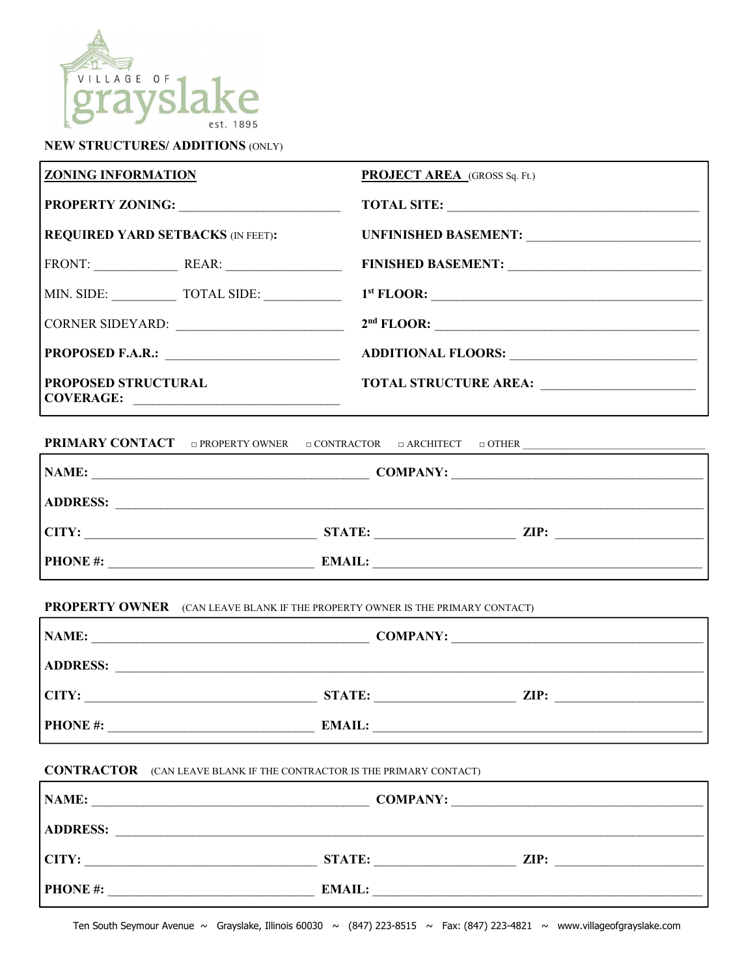

## NEW STRUCTURES/ ADDITIONS (ONLY)

| <b>ZONING INFORMATION</b>                      | <b>PROJECT AREA</b> (GROSS Sq. Ft.) |
|------------------------------------------------|-------------------------------------|
| PROPERTY ZONING:                               | TOTAL SITE:                         |
| <b>REQUIRED YARD SETBACKS (IN FEET):</b>       |                                     |
| FRONT: REAR: REAR:                             |                                     |
|                                                |                                     |
| CORNER SIDEYARD:                               | 2 <sup>nd</sup> FLOOR:              |
| PROPOSED F.A.R.: <u>______________________</u> | ADDITIONAL FLOORS:                  |
| <b>PROPOSED STRUCTURAL</b><br><b>COVERAGE:</b> | TOTAL STRUCTURE AREA:               |

**PRIMARY CONTACT**  $\Box$  PROPERTY OWNER  $\Box$  CONTRACTOR  $\Box$  ARCHITECT  $\Box$  OTHER

| NAME:           | <b>COMPANY:</b> |      |
|-----------------|-----------------|------|
| <b>ADDRESS:</b> |                 |      |
| CITY:           | <b>STATE:</b>   | ZIP: |
| <b>PHONE</b> #: | <b>EMAIL:</b>   |      |

#### PROPERTY OWNER (CAN LEAVE BLANK IF THE PROPERTY OWNER IS THE PRIMARY CONTACT)

| NAME:           | <b>COMPANY:</b> |      |
|-----------------|-----------------|------|
| <b>ADDRESS:</b> |                 |      |
| CITY:           | <b>STATE:</b>   | ZIP: |
| PHONE #:        | <b>EMAIL:</b>   |      |

## CONTRACTOR (CAN LEAVE BLANK IF THE CONTRACTOR IS THE PRIMARY CONTACT)

| NAME:           | <b>COMPANY:</b> |      |
|-----------------|-----------------|------|
| <b>ADDRESS:</b> |                 |      |
| CITY:           | <b>STATE:</b>   | ZIP: |
| <b>PHONE#:</b>  | <b>EMAIL:</b>   |      |